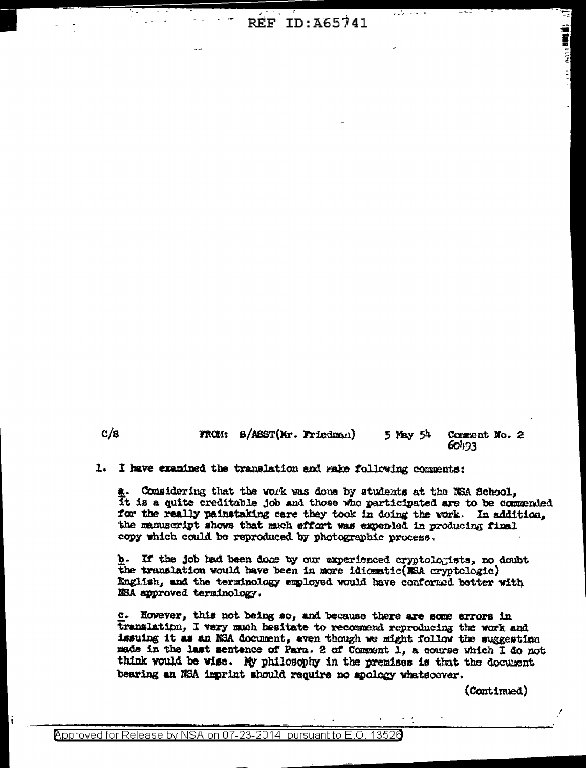FROM: S/ASST(Mr. Friedman) 5 May 54 Comment No. 2 60493

1. I have examined the translation and make following comments:

 $C/S$ 

REF ID: A65741

Considering that the work was done by students at the NSA School, It is a quite creditable job and those who participated are to be commended for the really painstaking care they took in doing the vork. In addition. the manuscript shows that much effort was expended in producing final copy which could be reproduced by photographic process.

b. If the job had been done by our experienced cryptologists, no doubt the translation would have been in more idiomatic (MSA cryptologic) English, and the terminology employed would have conformed better with NBA approved terminology.

g. However, this not being so, and because there are some errors in translation, I very much hesitate to recommend reproducing the work and issuing it as an NSA document, even though we might follow the suggesting made in the last sentence of Para. 2 of Comment 1, a course which I do not think would be wise. My philosophy in the premises is that the document bearing an NSA imprint should require no spology whatsoever.

(Continued)

**PLATT BURG WAS**